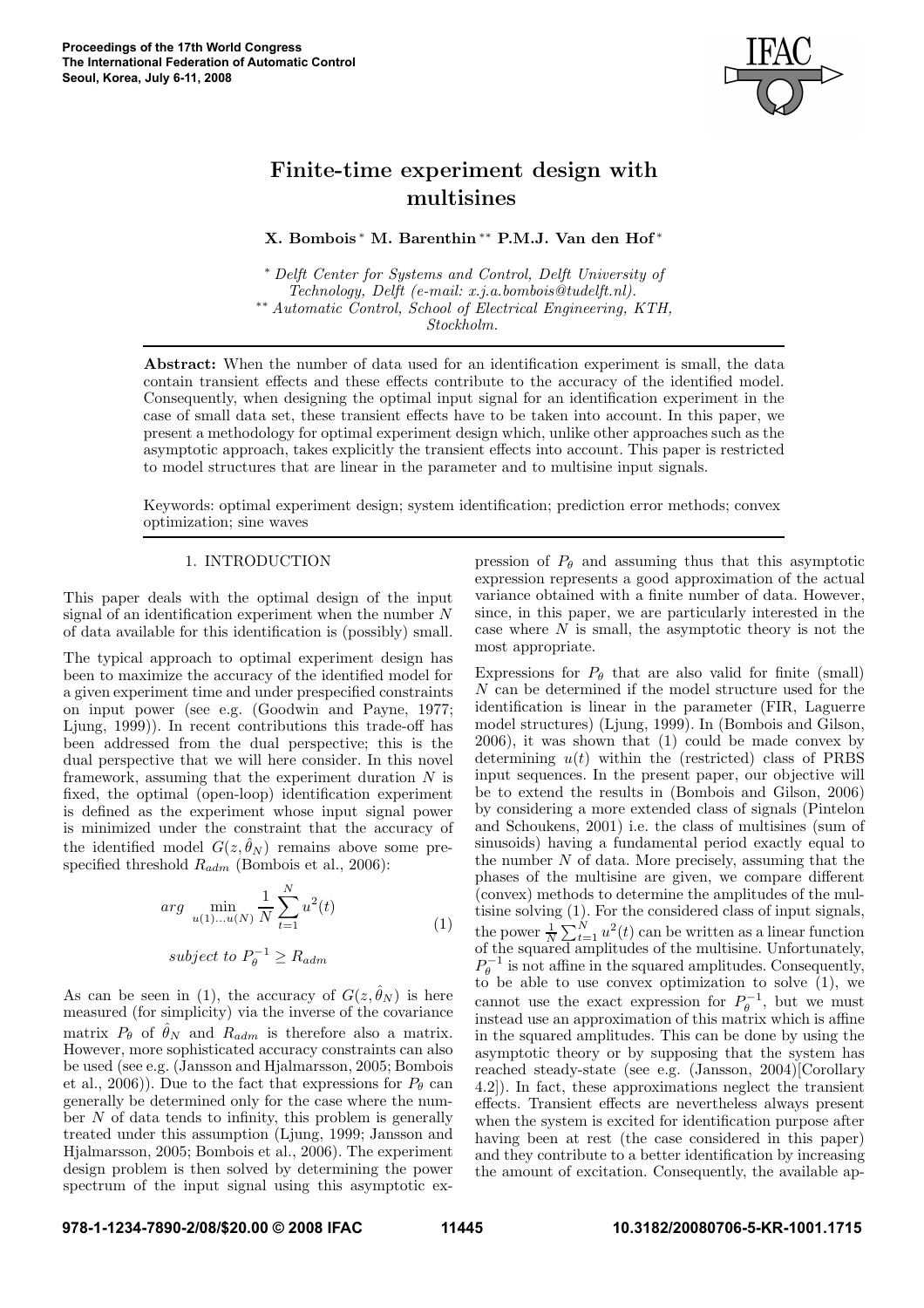

# Finite-time experiment design with multisines

X. Bombois <sup>∗</sup> M. Barenthin ∗∗ P.M.J. Van den Hof ∗

<sup>∗</sup> Delft Center for Systems and Control, Delft University of Technology, Delft (e-mail: x.j.a.bombois@tudelft.nl). ∗∗ Automatic Control, School of Electrical Engineering, KTH, Stockholm.

Abstract: When the number of data used for an identification experiment is small, the data contain transient effects and these effects contribute to the accuracy of the identified model. Consequently, when designing the optimal input signal for an identification experiment in the case of small data set, these transient effects have to be taken into account. In this paper, we present a methodology for optimal experiment design which, unlike other approaches such as the asymptotic approach, takes explicitly the transient effects into account. This paper is restricted to model structures that are linear in the parameter and to multisine input signals.

Keywords: optimal experiment design; system identification; prediction error methods; convex optimization; sine waves

## 1. INTRODUCTION

This paper deals with the optimal design of the input signal of an identification experiment when the number N of data available for this identification is (possibly) small.

The typical approach to optimal experiment design has been to maximize the accuracy of the identified model for a given experiment time and under prespecified constraints on input power (see e.g. (Goodwin and Payne, 1977; Ljung, 1999)). In recent contributions this trade-off has been addressed from the dual perspective; this is the dual perspective that we will here consider. In this novel framework, assuming that the experiment duration  $N$  is fixed, the optimal (open-loop) identification experiment is defined as the experiment whose input signal power is minimized under the constraint that the accuracy of the identified model  $G(z, \hat{\theta}_N)$  remains above some prespecified threshold  $R_{adm}$  (Bombois et al., 2006):

$$
arg \ \min_{u(1)...u(N)} \frac{1}{N} \sum_{t=1}^{N} u^2(t)
$$
\n(1)

subject to 
$$
P_{\theta}^{-1} \geq R_{adm}
$$

As can be seen in (1), the accuracy of  $G(z, \hat{\theta}_N)$  is here measured (for simplicity) via the inverse of the covariance matrix  $P_{\theta}$  of  $\hat{\theta}_N$  and  $R_{adm}$  is therefore also a matrix. However, more sophisticated accuracy constraints can also be used (see e.g. (Jansson and Hjalmarsson, 2005; Bombois et al., 2006)). Due to the fact that expressions for  $P_\theta$  can generally be determined only for the case where the number  $N$  of data tends to infinity, this problem is generally treated under this assumption (Ljung, 1999; Jansson and Hjalmarsson, 2005; Bombois et al., 2006). The experiment design problem is then solved by determining the power spectrum of the input signal using this asymptotic expression of  $P_{\theta}$  and assuming thus that this asymptotic expression represents a good approximation of the actual variance obtained with a finite number of data. However, since, in this paper, we are particularly interested in the case where  $N$  is small, the asymptotic theory is not the most appropriate.

Expressions for  $P_{\theta}$  that are also valid for finite (small) N can be determined if the model structure used for the identification is linear in the parameter (FIR, Laguerre model structures) (Ljung, 1999). In (Bombois and Gilson, 2006), it was shown that (1) could be made convex by determining  $u(t)$  within the (restricted) class of PRBS input sequences. In the present paper, our objective will be to extend the results in (Bombois and Gilson, 2006) by considering a more extended class of signals (Pintelon and Schoukens, 2001) i.e. the class of multisines (sum of sinusoids) having a fundamental period exactly equal to the number  $N$  of data. More precisely, assuming that the phases of the multisine are given, we compare different (convex) methods to determine the amplitudes of the multisine solving (1). For the considered class of input signals, the power  $\frac{1}{N}\sum_{t=1}^{N}u^2(t)$  can be written as a linear function of the squared amplitudes of the multisine. Unfortunately,  $P_{\theta}^{-1}$  is not affine in the squared amplitudes. Consequently, to be able to use convex optimization to solve  $(1)$ , we cannot use the exact expression for  $P_{\theta}^{-1}$ , but we must instead use an approximation of this matrix which is affine in the squared amplitudes. This can be done by using the asymptotic theory or by supposing that the system has reached steady-state (see e.g. (Jansson, 2004)[Corollary 4.2]). In fact, these approximations neglect the transient effects. Transient effects are nevertheless always present when the system is excited for identification purpose after having been at rest (the case considered in this paper) and they contribute to a better identification by increasing the amount of excitation. Consequently, the available ap-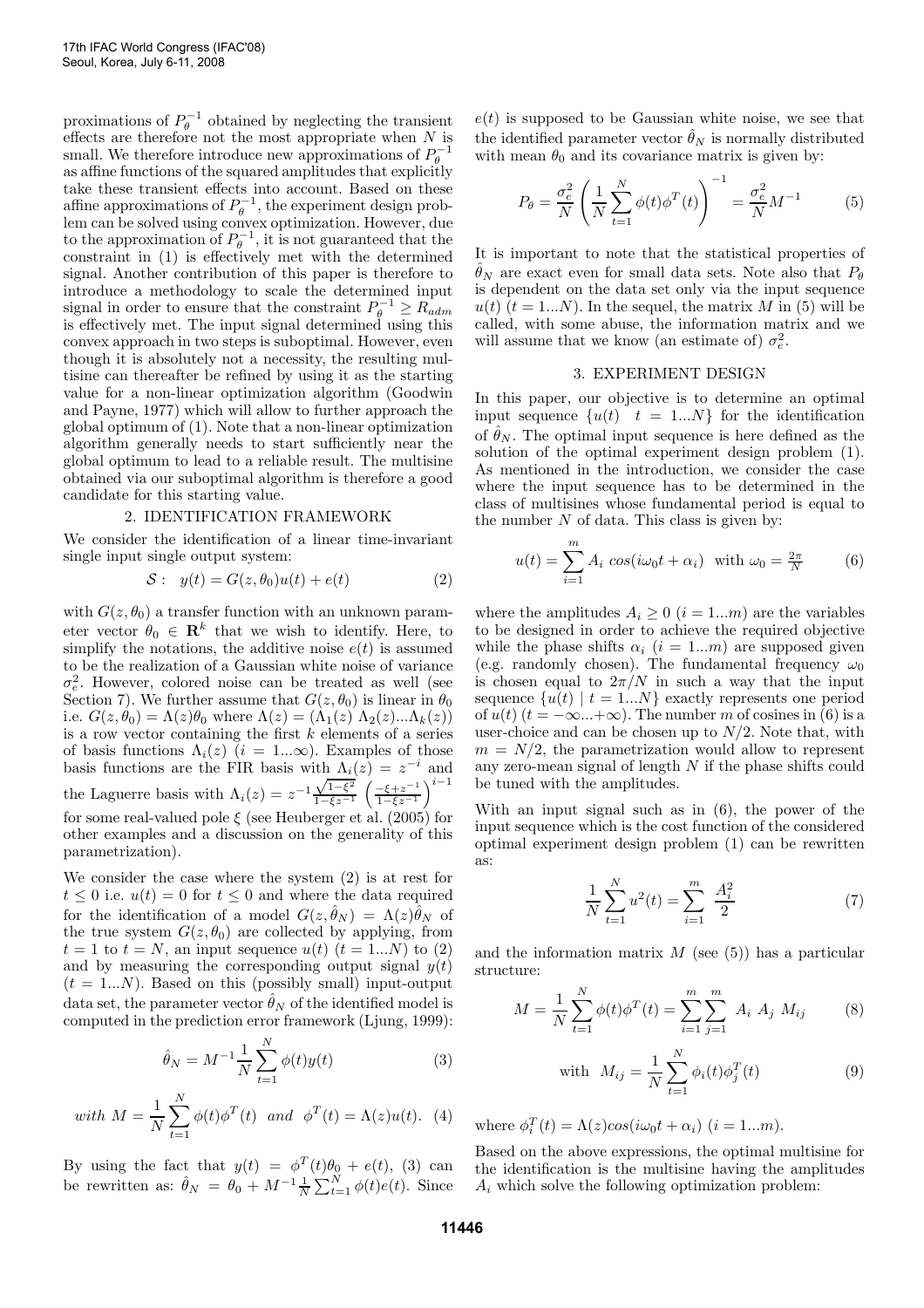proximations of  $P_{\theta}^{-1}$  obtained by neglecting the transient effects are therefore not the most appropriate when  $N$  is small. We therefore introduce new approximations of  $P_{\theta}^{-1}$ as affine functions of the squared amplitudes that explicitly take these transient effects into account. Based on these affine approximations of  $P_{\theta}^{-1}$ , the experiment design problem can be solved using convex optimization. However, due to the approximation of  $P_{\theta}^{-1}$ , it is not guaranteed that the constraint in (1) is effectively met with the determined signal. Another contribution of this paper is therefore to introduce a methodology to scale the determined input signal in order to ensure that the constraint  $P_{\theta}^{-1} \ge R_{adm}$ is effectively met. The input signal determined using this convex approach in two steps is suboptimal. However, even though it is absolutely not a necessity, the resulting multisine can thereafter be refined by using it as the starting value for a non-linear optimization algorithm (Goodwin and Payne, 1977) which will allow to further approach the global optimum of (1). Note that a non-linear optimization algorithm generally needs to start sufficiently near the global optimum to lead to a reliable result. The multisine obtained via our suboptimal algorithm is therefore a good candidate for this starting value.

### 2. IDENTIFICATION FRAMEWORK

We consider the identification of a linear time-invariant single input single output system:

$$
S: y(t) = G(z, \theta_0)u(t) + e(t)
$$
 (2)

with  $G(z, \theta_0)$  a transfer function with an unknown parameter vector  $\theta_0 \in \mathbf{R}^k$  that we wish to identify. Here, to simplify the notations, the additive noise  $e(t)$  is assumed to be the realization of a Gaussian white noise of variance  $\sigma_e^2$ . However, colored noise can be treated as well (see Section 7). We further assume that  $G(z, \theta_0)$  is linear in  $\theta_0$ i.e.  $G(z, \theta_0) = \Lambda(z) \theta_0$  where  $\Lambda(z) = (\Lambda_1(z) \Lambda_2(z) \ldots \Lambda_k(z))$ is a row vector containing the first  $k$  elements of a series of basis functions  $\Lambda_i(z)$  (i = 1... $\infty$ ). Examples of those basis functions are the FIR basis with  $\Lambda_i(z) = z^{-i}$  and the Laguerre basis with  $\Lambda_i(z) = z^{-1} \frac{\sqrt{1-\xi^2}}{1-\xi z^{-1}} \left( \frac{-\xi + z^{-1}}{1-\xi z^{-1}} \right)$  $\frac{-\xi + z^{-1}}{1 - \xi z^{-1}}$ <sup>i-1</sup> for some real-valued pole  $\xi$  (see Heuberger et al. (2005) for other examples and a discussion on the generality of this parametrization).

We consider the case where the system (2) is at rest for  $t \leq 0$  i.e.  $u(t) = 0$  for  $t \leq 0$  and where the data required for the identification of a model  $G(z, \hat{\theta}_N) = \Lambda(z) \hat{\theta}_N$  of the true system  $G(z, \theta_0)$  are collected by applying, from  $t = 1$  to  $t = N$ , an input sequence  $u(t)$   $(t = 1...N)$  to  $(2)$ and by measuring the corresponding output signal  $y(t)$  $(t = 1...N)$ . Based on this (possibly small) input-output data set, the parameter vector  $\hat{\theta}_N$  of the identified model is computed in the prediction error framework (Ljung, 1999):

$$
\hat{\theta}_N = M^{-1} \frac{1}{N} \sum_{t=1}^N \phi(t) y(t)
$$
\n(3)

with 
$$
M = \frac{1}{N} \sum_{t=1}^{N} \phi(t) \phi^{T}(t)
$$
 and  $\phi^{T}(t) = \Lambda(z)u(t)$ . (4)

By using the fact that  $y(t) = \phi^T(t)\theta_0 + e(t)$ , (3) can be rewritten as:  $\hat{\theta}_N = \theta_0 + M^{-1} \frac{1}{N} \sum_{t=1}^N \phi(t) e(t)$ . Since  $e(t)$  is supposed to be Gaussian white noise, we see that the identified parameter vector  $\hat{\theta}_N$  is normally distributed with mean  $\theta_0$  and its covariance matrix is given by:

$$
P_{\theta} = \frac{\sigma_e^2}{N} \left( \frac{1}{N} \sum_{t=1}^{N} \phi(t) \phi^T(t) \right)^{-1} = \frac{\sigma_e^2}{N} M^{-1}
$$
 (5)

It is important to note that the statistical properties of  $\hat{\theta}_N$  are exact even for small data sets. Note also that  $P_{\theta}$ is dependent on the data set only via the input sequence  $u(t)$   $(t = 1...N)$ . In the sequel, the matrix M in (5) will be called, with some abuse, the information matrix and we will assume that we know (an estimate of)  $\sigma_e^2$ .

#### 3. EXPERIMENT DESIGN

In this paper, our objective is to determine an optimal input sequence  $\{u(t)$   $t = 1...N\}$  for the identification of  $\hat{\theta}_N$ . The optimal input sequence is here defined as the solution of the optimal experiment design problem (1). As mentioned in the introduction, we consider the case where the input sequence has to be determined in the class of multisines whose fundamental period is equal to the number  $N$  of data. This class is given by:

 $\sim$ 

$$
u(t) = \sum_{i=1}^{m} A_i \cos(i\omega_0 t + \alpha_i) \text{ with } \omega_0 = \frac{2\pi}{N} \tag{6}
$$

where the amplitudes  $A_i \geq 0$   $(i = 1...m)$  are the variables to be designed in order to achieve the required objective while the phase shifts  $\alpha_i$  (i = 1...m) are supposed given (e.g. randomly chosen). The fundamental frequency  $\omega_0$ is chosen equal to  $2\pi/N$  in such a way that the input sequence  $\{u(t) | t = 1...N\}$  exactly represents one period of  $u(t)$   $(t = -\infty...+\infty)$ . The number m of cosines in (6) is a user-choice and can be chosen up to  $N/2$ . Note that, with  $m = N/2$ , the parametrization would allow to represent any zero-mean signal of length N if the phase shifts could be tuned with the amplitudes.

With an input signal such as in (6), the power of the input sequence which is the cost function of the considered optimal experiment design problem (1) can be rewritten as:

$$
\frac{1}{N} \sum_{t=1}^{N} u^2(t) = \sum_{i=1}^{m} \frac{A_i^2}{2}
$$
 (7)

and the information matrix  $M$  (see (5)) has a particular structure:

$$
M = \frac{1}{N} \sum_{t=1}^{N} \phi(t) \phi^{T}(t) = \sum_{i=1}^{m} \sum_{j=1}^{m} A_{i} A_{j} M_{ij}
$$
 (8)

with 
$$
M_{ij} = \frac{1}{N} \sum_{t=1}^{N} \phi_i(t) \phi_j^T(t)
$$
 (9)

where  $\phi_i^T(t) = \Lambda(z) \cos(i\omega_0 t + \alpha_i)$   $(i = 1...m)$ .

Based on the above expressions, the optimal multisine for the identification is the multisine having the amplitudes  $A_i$  which solve the following optimization problem: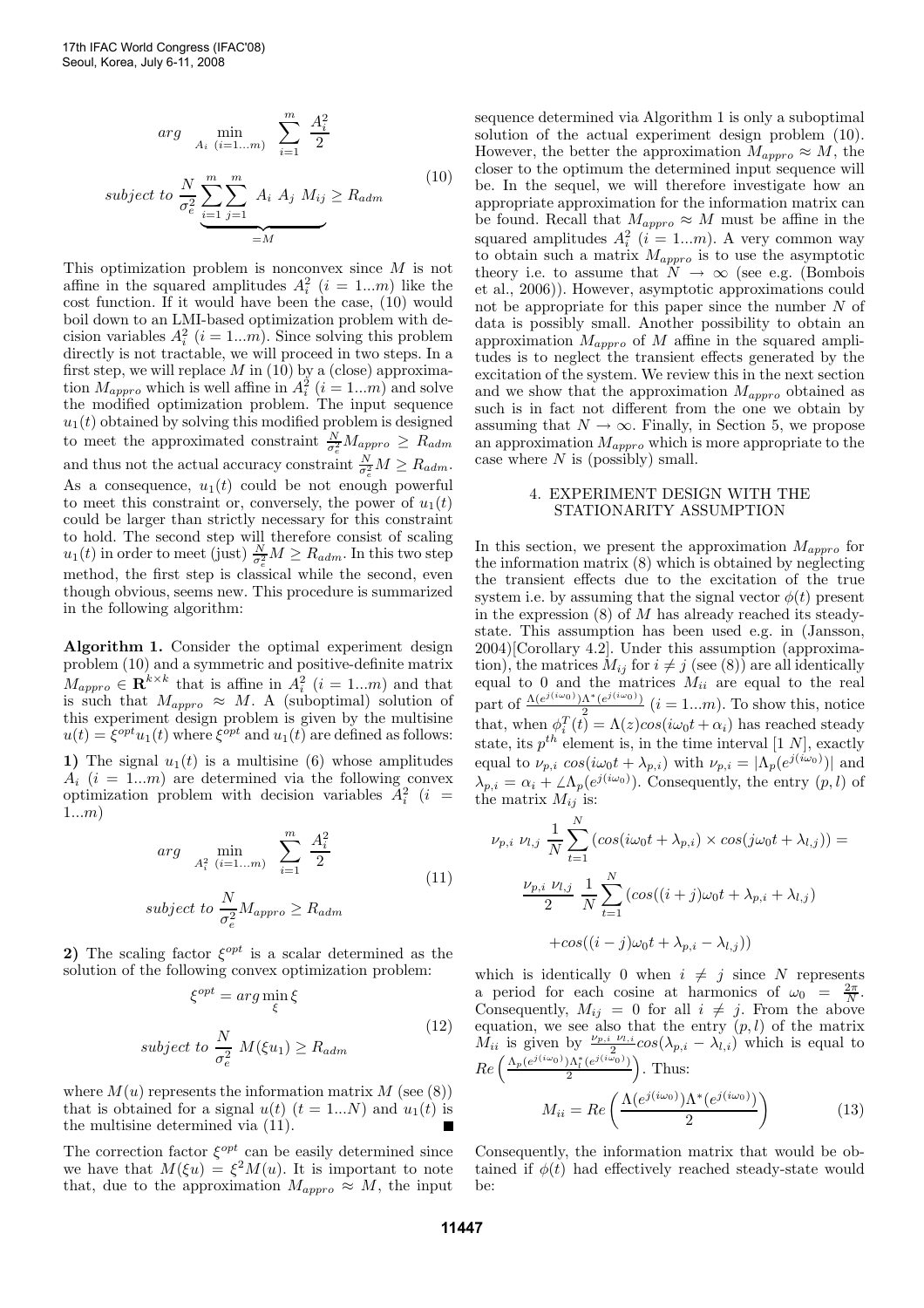$$
arg \min_{A_i \ (i=1...m)} \sum_{i=1}^m \frac{A_i^2}{2}
$$
  
\n
$$
subject \ to \ \frac{N}{\sigma_e^2} \sum_{i=1}^m \sum_{j=1}^m A_i \ A_j \ M_{ij} \ge R_{adm}
$$
\n
$$
=M
$$
\n(10)

This optimization problem is nonconvex since M is not affine in the squared amplitudes  $A_i^2$   $(i = 1...m)$  like the cost function. If it would have been the case,  $(10)$  would boil down to an LMI-based optimization problem with decision variables  $A_i^2$   $(i = 1...m)$ . Since solving this problem directly is not tractable, we will proceed in two steps. In a first step, we will replace  $M$  in (10) by a (close) approximation  $M_{\text{approx}}$  which is well affine in  $A_i^2$   $(i = 1...m)$  and solve the modified optimization problem. The input sequence  $u_1(t)$  obtained by solving this modified problem is designed to meet the approximated constraint  $\frac{N}{\sigma_e^2} M_{approx} \geq R_{adm}$ and thus not the actual accuracy constraint  $\frac{N}{\sigma_e^2} M \geq R_{adm}$ . As a consequence,  $u_1(t)$  could be not enough powerful to meet this constraint or, conversely, the power of  $u_1(t)$ could be larger than strictly necessary for this constraint to hold. The second step will therefore consist of scaling  $u_1(t)$  in order to meet (just)  $\frac{N}{\sigma_e^2} M \geq R_{adm}$ . In this two step method, the first step is classical while the second, even though obvious, seems new. This procedure is summarized in the following algorithm:

Algorithm 1. Consider the optimal experiment design problem (10) and a symmetric and positive-definite matrix  $M_{\text{approx}} \in \mathbb{R}^{k \times k}$  that is affine in  $A_i^2$   $(i = 1...m)$  and that is such that  $M_{approx} \approx M$ . A (suboptimal) solution of this experiment design problem is given by the multisine  $u(t) = \xi^{opt} u_1(t)$  where  $\xi^{opt}$  and  $u_1(t)$  are defined as follows: 1) The signal  $u_1(t)$  is a multisine (6) whose amplitudes

 $A_i$  (i = 1...m) are determined via the following convex optimization problem with decision variables  $A_i^2$  (*i* = 1...m)

$$
arg \min_{A_i^2 \ (i=1...m)} \sum_{i=1}^m \frac{A_i^2}{2}
$$
  
\n
$$
subject \ to \ \frac{N}{\sigma_e^2} M_{\text{approx}} \ge R_{\text{adm}}
$$
\n
$$
(11)
$$

2) The scaling factor  $\xi^{opt}$  is a scalar determined as the solution of the following convex optimization problem:

$$
\xi^{opt} = \arg\min_{\xi} \xi
$$
  
subject to 
$$
\frac{N}{\sigma_e^2} M(\xi u_1) \ge R_{adm}
$$
 (12)

where  $M(u)$  represents the information matrix M (see (8)) that is obtained for a signal  $u(t)$   $(t = 1...N)$  and  $u_1(t)$  is the multisine determined via (11).

The correction factor  $\xi^{opt}$  can be easily determined since we have that  $M(\xi u) = \xi^2 M(u)$ . It is important to note that, due to the approximation  $M_{\text{approx}} \approx M$ , the input sequence determined via Algorithm 1 is only a suboptimal solution of the actual experiment design problem (10). However, the better the approximation  $M_{approx} \approx M$ , the closer to the optimum the determined input sequence will be. In the sequel, we will therefore investigate how an appropriate approximation for the information matrix can be found. Recall that  $M_{approx} \approx M$  must be affine in the squared amplitudes  $A_i^2$   $(i = 1...m)$ . A very common way to obtain such a matrix  $M_{approx}$  is to use the asymptotic theory i.e. to assume that  $N \to \infty$  (see e.g. (Bombois et al., 2006)). However, asymptotic approximations could not be appropriate for this paper since the number N of data is possibly small. Another possibility to obtain an approximation  $M_{approx}$  of M affine in the squared amplitudes is to neglect the transient effects generated by the excitation of the system. We review this in the next section and we show that the approximation  $M_{approx}$  obtained as such is in fact not different from the one we obtain by assuming that  $N \to \infty$ . Finally, in Section 5, we propose an approximation  $M_{\emph{appro}}$  which is more appropriate to the case where  $N$  is (possibly) small.

## 4. EXPERIMENT DESIGN WITH THE STATIONARITY ASSUMPTION

In this section, we present the approximation  $M_{approx}$  for the information matrix (8) which is obtained by neglecting the transient effects due to the excitation of the true system i.e. by assuming that the signal vector  $\phi(t)$  present in the expression  $(8)$  of M has already reached its steadystate. This assumption has been used e.g. in (Jansson, 2004)[Corollary 4.2]. Under this assumption (approximation), the matrices  $M_{ij}$  for  $i \neq j$  (see (8)) are all identically equal to 0 and the matrices  $M_{ii}$  are equal to the real part of  $\frac{\Lambda(e^{j(i\omega_0)})\Lambda^*(e^{j(i\omega_0)})}{2}$  $\frac{X(e^{i\omega_0})}{2}$   $(i = 1...m)$ . To show this, notice that, when  $\phi_i^T(t) = \Lambda(z) \cos(i\omega_0 t + \alpha_i)$  has reached steady state, its  $p^{th}$  element is, in the time interval [1 N], exactly equal to  $\nu_{p,i} \cos(i\omega_0 t + \lambda_{p,i})$  with  $\nu_{p,i} = |\Lambda_p(e^{j(i\omega_0)})|$  and  $\lambda_{p,i} = \alpha_i + \angle \Lambda_p(e^{j(i\omega_0)})$ . Consequently, the entry  $(p, l)$  of the matrix  $M_{ij}$  is:

$$
\nu_{p,i} \nu_{l,j} \frac{1}{N} \sum_{t=1}^{N} (cos(i\omega_0 t + \lambda_{p,i}) \times cos(j\omega_0 t + \lambda_{l,j})) =
$$

$$
\frac{\nu_{p,i} \nu_{l,j}}{2} \frac{1}{N} \sum_{t=1}^{N} (cos((i+j)\omega_0 t + \lambda_{p,i} + \lambda_{l,j})
$$

$$
+ cos((i-j)\omega_0 t + \lambda_{p,i} - \lambda_{l,j}))
$$

which is identically 0 when  $i \neq j$  since N represents a period for each cosine at harmonics of  $\omega_0 = \frac{2\pi}{N}$ . Consequently,  $M_{ij} = 0$  for all  $i \neq j$ . From the above equation, we see also that the entry  $(p, l)$  of the matrix  $M_{ii}$  is given by  $\frac{\nu_{p,i} \nu_{l,i}}{2}$  $\frac{\nu_{l,i}}{2}cos(\lambda_{p,i}-\lambda_{l,i})$  which is equal to  $Re\left(\frac{\Lambda_p(e^{j(i\omega_0)})\Lambda_l^*(e^{j(i\omega_0)})}{2}\right)$  $\frac{\Delta_l^*(e^{j(i\omega_0)})}{2}$ . Thus:

$$
M_{ii} = Re\left(\frac{\Lambda(e^{j(i\omega_0)})\Lambda^*(e^{j(i\omega_0)})}{2}\right) \tag{13}
$$

Consequently, the information matrix that would be obtained if  $\phi(t)$  had effectively reached steady-state would  $he$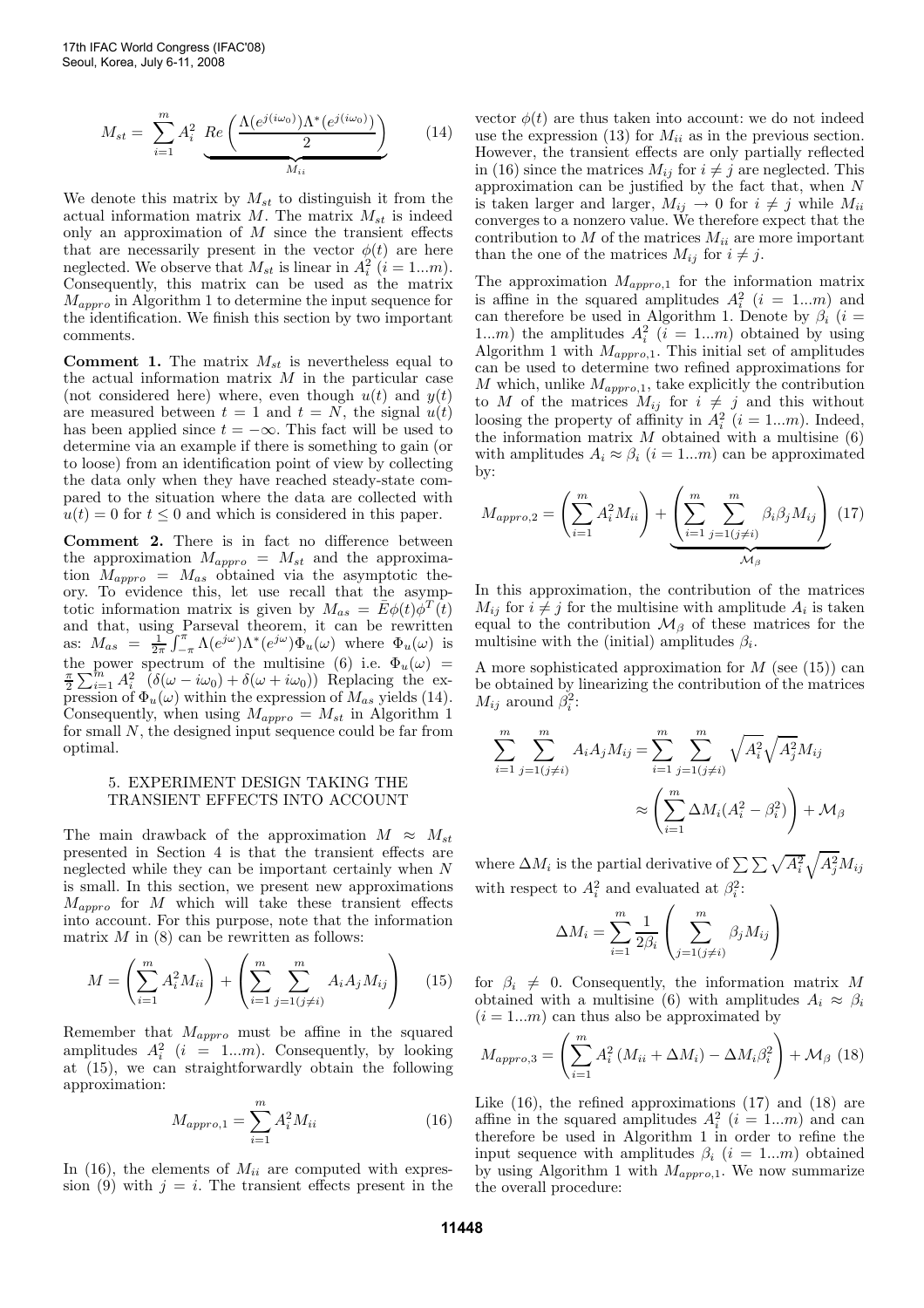$$
M_{st} = \sum_{i=1}^{m} A_i^2 \underbrace{Re\left(\frac{\Lambda(e^{j(i\omega_0)})\Lambda^*(e^{j(i\omega_0)})}{2}\right)}_{M_{ii}} \tag{14}
$$

We denote this matrix by  $M_{st}$  to distinguish it from the actual information matrix  $M$ . The matrix  $M_{st}$  is indeed only an approximation of  $M$  since the transient effects that are necessarily present in the vector  $\phi(t)$  are here neglected. We observe that  $M_{st}$  is linear in  $A_i^2$   $(i = 1...m)$ . Consequently, this matrix can be used as the matrix  $M_{approx}$  in Algorithm 1 to determine the input sequence for the identification. We finish this section by two important comments.

**Comment 1.** The matrix  $M_{st}$  is nevertheless equal to the actual information matrix  $M$  in the particular case (not considered here) where, even though  $u(t)$  and  $y(t)$ are measured between  $t = 1$  and  $t = N$ , the signal  $u(t)$ has been applied since  $t = -\infty$ . This fact will be used to determine via an example if there is something to gain (or to loose) from an identification point of view by collecting the data only when they have reached steady-state compared to the situation where the data are collected with  $u(t) = 0$  for  $t \leq 0$  and which is considered in this paper.

Comment 2. There is in fact no difference between the approximation  $M_{approx} = M_{st}$  and the approximation  $M_{approx} = M_{as}$  obtained via the asymptotic theory. To evidence this, let use recall that the asymptotic information matrix is given by  $M_{as} = \bar{E} \phi(t) \phi^{T}(t)$ and that, using Parseval theorem, it can be rewritten as:  $M_{as} = \frac{1}{2\pi} \int_{-\pi}^{\pi} \Lambda(e^{j\omega}) \Lambda^*(e^{j\omega}) \Phi_u(\omega)$  where  $\Phi_u(\omega)$  is the power spectrum of the multisine (6) i.e.  $\Phi_u(\omega) = \frac{\pi}{2} \sum_{i=1}^m A_i^2 \left( \delta(\omega - i\omega_0) + \delta(\omega + i\omega_0) \right)$  Replacing the expression of  $\Phi_u(\omega)$  within the expression of  $M_{as}$  yields (14). Consequently, when using  $M_{approx} = M_{st}$  in Algorithm 1 for small N, the designed input sequence could be far from optimal.

#### 5. EXPERIMENT DESIGN TAKING THE TRANSIENT EFFECTS INTO ACCOUNT

The main drawback of the approximation  $M \approx M_{st}$ presented in Section 4 is that the transient effects are neglected while they can be important certainly when N is small. In this section, we present new approximations  $M_{\text{approx}}$  for M which will take these transient effects into account. For this purpose, note that the information matrix  $M$  in (8) can be rewritten as follows:

$$
M = \left(\sum_{i=1}^{m} A_i^2 M_{ii}\right) + \left(\sum_{i=1}^{m} \sum_{j=1 (j \neq i)}^{m} A_i A_j M_{ij}\right) \tag{15}
$$

Remember that  $M_{approx}$  must be affine in the squared amplitudes  $A_i^2$  (*i* = 1...*m*). Consequently, by looking at (15), we can straightforwardly obtain the following approximation:

$$
M_{\text{approx},1} = \sum_{i=1}^{m} A_i^2 M_{ii}
$$
 (16)

In (16), the elements of  $M_{ii}$  are computed with expression (9) with  $j = i$ . The transient effects present in the vector  $\phi(t)$  are thus taken into account: we do not indeed use the expression (13) for  $M_{ii}$  as in the previous section. However, the transient effects are only partially reflected in (16) since the matrices  $M_{ij}$  for  $i \neq j$  are neglected. This approximation can be justified by the fact that, when  $N$ is taken larger and larger,  $M_{ij} \rightarrow 0$  for  $i \neq j$  while  $M_{ii}$ converges to a nonzero value. We therefore expect that the contribution to  $M$  of the matrices  $M_{ii}$  are more important than the one of the matrices  $M_{ij}$  for  $i \neq j$ .

The approximation  $M_{approx,1}$  for the information matrix is affine in the squared amplitudes  $A_i^2$  ( $i = 1...m$ ) and can therefore be used in Algorithm 1. Denote by  $\beta_i$  (i = 1...m) the amplitudes  $A_i^2$   $(i = 1...m)$  obtained by using Algorithm 1 with  $M_{approx,1}$ . This initial set of amplitudes can be used to determine two refined approximations for M which, unlike  $M_{approx,1}$ , take explicitly the contribution to M of the matrices  $M_{ij}$  for  $i \neq j$  and this without loosing the property of affinity in  $A_i^2$   $(i = 1...m)$ . Indeed, the information matrix  $M$  obtained with a multisine  $(6)$ with amplitudes  $A_i \approx \beta_i$  (i = 1...m) can be approximated  $hv$ 

$$
M_{\text{approx},2} = \left(\sum_{i=1}^{m} A_i^2 M_{ii}\right) + \underbrace{\left(\sum_{i=1}^{m} \sum_{j=1(j\neq i)}^{m} \beta_i \beta_j M_{ij}\right)}_{\mathcal{M}_{\beta}} (17)
$$

In this approximation, the contribution of the matrices  $M_{ij}$  for  $i \neq j$  for the multisine with amplitude  $A_i$  is taken equal to the contribution  $\mathcal{M}_{\beta}$  of these matrices for the multisine with the (initial) amplitudes  $\beta_i$ .

A more sophisticated approximation for  $M$  (see (15)) can be obtained by linearizing the contribution of the matrices  $M_{ij}$  around  $\beta_i^2$ :

$$
\sum_{i=1}^{m} \sum_{j=1(j\neq i)}^{m} A_i A_j M_{ij} = \sum_{i=1}^{m} \sum_{j=1(j\neq i)}^{m} \sqrt{A_i^2} \sqrt{A_j^2} M_{ij}
$$

$$
\approx \left(\sum_{i=1}^{m} \Delta M_i (A_i^2 - \beta_i^2)\right) + \mathcal{M}_{\beta}
$$

where  $\Delta M_i$  is the partial derivative of  $\sum \sum \sqrt{A_i^2} \sqrt{A_j^2} M_{ij}$ with respect to  $A_i^2$  and evaluated at  $\beta_i^2$ :

$$
\Delta M_i = \sum_{i=1}^m \frac{1}{2\beta_i} \left( \sum_{j=1(j\neq i)}^m \beta_j M_{ij} \right)
$$

for  $\beta_i \neq 0$ . Consequently, the information matrix M obtained with a multisine (6) with amplitudes  $A_i \approx \beta_i$  $(i = 1...m)$  can thus also be approximated by

$$
M_{\text{approx},3} = \left(\sum_{i=1}^{m} A_i^2 \left(M_{ii} + \Delta M_i\right) - \Delta M_i \beta_i^2\right) + \mathcal{M}_{\beta} \tag{18}
$$

Like (16), the refined approximations (17) and (18) are affine in the squared amplitudes  $A_i^2$   $(i = 1...m)$  and can therefore be used in Algorithm 1 in order to refine the input sequence with amplitudes  $\beta_i$   $(i = 1...m)$  obtained by using Algorithm 1 with  $M_{\text{approx}}$ . We now summarize the overall procedure: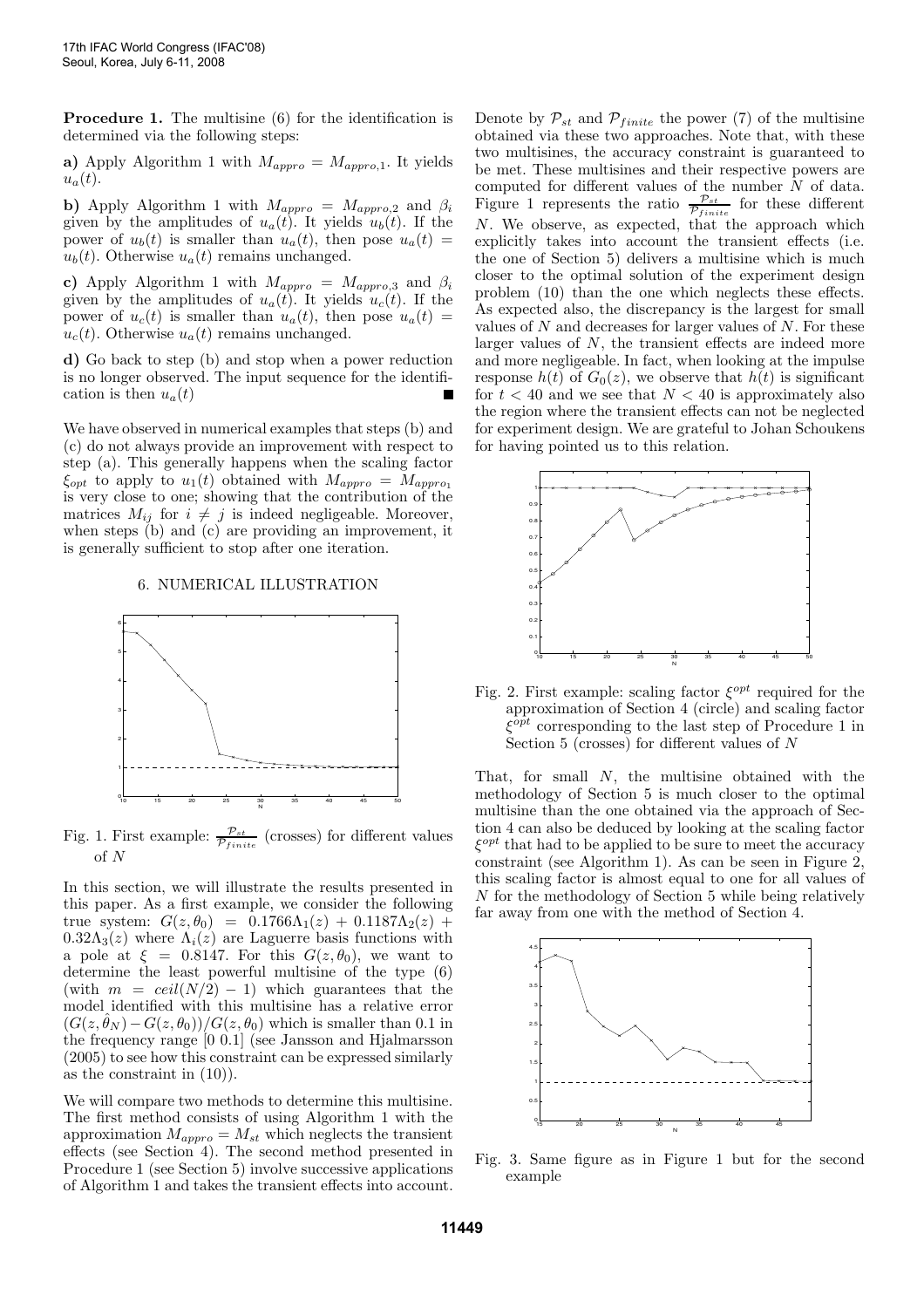Procedure 1. The multisine (6) for the identification is determined via the following steps:

a) Apply Algorithm 1 with  $M_{\text{approx}} = M_{\text{approx},1}$ . It yields  $u_a(t)$ .

b) Apply Algorithm 1 with  $M_{approx} = M_{approx,2}$  and  $\beta_i$ given by the amplitudes of  $u_a(t)$ . It yields  $u_b(t)$ . If the power of  $u_b(t)$  is smaller than  $u_a(t)$ , then pose  $u_a(t)$  =  $u<sub>b</sub>(t)$ . Otherwise  $u<sub>a</sub>(t)$  remains unchanged.

c) Apply Algorithm 1 with  $M_{approx} = M_{approx,3}$  and  $\beta_i$ given by the amplitudes of  $u_a(t)$ . It yields  $u_c(t)$ . If the power of  $u_c(t)$  is smaller than  $u_a(t)$ , then pose  $u_a(t)$  =  $u_c(t)$ . Otherwise  $u_a(t)$  remains unchanged.

d) Go back to step (b) and stop when a power reduction is no longer observed. The input sequence for the identification is then  $u_a(t)$ 

We have observed in numerical examples that steps (b) and (c) do not always provide an improvement with respect to step (a). This generally happens when the scaling factor  $\xi_{opt}$  to apply to  $u_1(t)$  obtained with  $M_{approx} = M_{approx}$ is very close to one; showing that the contribution of the matrices  $M_{ij}$  for  $i \neq j$  is indeed negligeable. Moreover, when steps (b) and (c) are providing an improvement, it is generally sufficient to stop after one iteration.

## 6. NUMERICAL ILLUSTRATION



Fig. 1. First example:  $\frac{p_{st}}{p_{finite}}$  (crosses) for different values of N

In this section, we will illustrate the results presented in this paper. As a first example, we consider the following true system:  $G(z, \theta_0) = 0.1766 \Lambda_1(z) + 0.1187 \Lambda_2(z) +$  $0.32\Lambda_3(z)$  where  $\Lambda_i(z)$  are Laguerre basis functions with a pole at  $\xi = 0.8147$ . For this  $G(z, \theta_0)$ , we want to determine the least powerful multisine of the type (6) (with  $m = \text{ceil}(N/2) - 1$ ) which guarantees that the model identified with this multisine has a relative error  $(G(z, \hat{\theta}_N) - G(z, \theta_0))/G(z, \theta_0)$  which is smaller than 0.1 in the frequency range [0 0.1] (see Jansson and Hjalmarsson (2005) to see how this constraint can be expressed similarly as the constraint in (10)).

We will compare two methods to determine this multisine. The first method consists of using Algorithm 1 with the approximation  $M_{approx} = M_{st}$  which neglects the transient effects (see Section 4). The second method presented in Procedure 1 (see Section 5) involve successive applications of Algorithm 1 and takes the transient effects into account. Denote by  $\mathcal{P}_{st}$  and  $\mathcal{P}_{finite}$  the power (7) of the multisine obtained via these two approaches. Note that, with these two multisines, the accuracy constraint is guaranteed to be met. These multisines and their respective powers are computed for different values of the number N of data. Figure 1 represents the ratio  $\frac{\mathcal{P}_{st}}{\mathcal{P}_{finite}}$  for these different N. We observe, as expected, that the approach which explicitly takes into account the transient effects (i.e. the one of Section 5) delivers a multisine which is much closer to the optimal solution of the experiment design problem (10) than the one which neglects these effects. As expected also, the discrepancy is the largest for small values of  $N$  and decreases for larger values of  $N$ . For these larger values of N, the transient effects are indeed more and more negligeable. In fact, when looking at the impulse response  $h(t)$  of  $G_0(z)$ , we observe that  $h(t)$  is significant for  $t < 40$  and we see that  $N < 40$  is approximately also the region where the transient effects can not be neglected for experiment design. We are grateful to Johan Schoukens for having pointed us to this relation.



Fig. 2. First example: scaling factor  $\xi^{opt}$  required for the approximation of Section 4 (circle) and scaling factor  $\xi^{opt}$  corresponding to the last step of Procedure 1 in Section 5 (crosses) for different values of  $N$ 

That, for small  $N$ , the multisine obtained with the methodology of Section 5 is much closer to the optimal multisine than the one obtained via the approach of Section 4 can also be deduced by looking at the scaling factor  $\xi^{opt}$  that had to be applied to be sure to meet the accuracy constraint (see Algorithm 1). As can be seen in Figure 2, this scaling factor is almost equal to one for all values of N for the methodology of Section 5 while being relatively far away from one with the method of Section 4.



Fig. 3. Same figure as in Figure 1 but for the second example